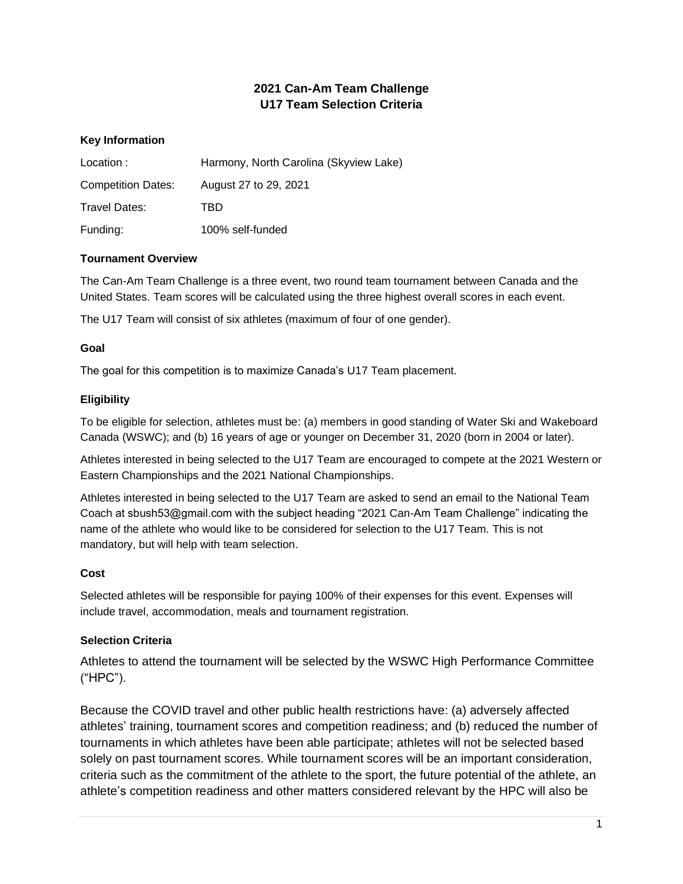# **2021 Can-Am Team Challenge U17 Team Selection Criteria**

# **Key Information**

| Location:                 | Harmony, North Carolina (Skyview Lake) |
|---------------------------|----------------------------------------|
| <b>Competition Dates:</b> | August 27 to 29, 2021                  |
| Travel Dates:             | TBD                                    |
| Funding:                  | 100% self-funded                       |

#### **Tournament Overview**

The Can-Am Team Challenge is a three event, two round team tournament between Canada and the United States. Team scores will be calculated using the three highest overall scores in each event.

The U17 Team will consist of six athletes (maximum of four of one gender).

#### **Goal**

The goal for this competition is to maximize Canada's U17 Team placement.

### **Eligibility**

To be eligible for selection, athletes must be: (a) members in good standing of Water Ski and Wakeboard Canada (WSWC); and (b) 16 years of age or younger on December 31, 2020 (born in 2004 or later).

Athletes interested in being selected to the U17 Team are encouraged to compete at the 2021 Western or Eastern Championships and the 2021 National Championships.

Athletes interested in being selected to the U17 Team are asked to send an email to the National Team Coach at sbush53@gmail.com with the subject heading "2021 Can-Am Team Challenge" indicating the name of the athlete who would like to be considered for selection to the U17 Team. This is not mandatory, but will help with team selection.

### **Cost**

Selected athletes will be responsible for paying 100% of their expenses for this event. Expenses will include travel, accommodation, meals and tournament registration.

### **Selection Criteria**

Athletes to attend the tournament will be selected by the WSWC High Performance Committee ("HPC").

Because the COVID travel and other public health restrictions have: (a) adversely affected athletes' training, tournament scores and competition readiness; and (b) reduced the number of tournaments in which athletes have been able participate; athletes will not be selected based solely on past tournament scores. While tournament scores will be an important consideration, criteria such as the commitment of the athlete to the sport, the future potential of the athlete, an athlete's competition readiness and other matters considered relevant by the HPC will also be